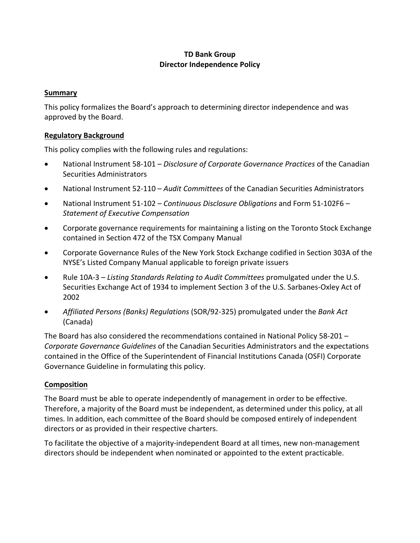# **TD Bank Group Director Independence Policy**

### **Summary**

This policy formalizes the Board's approach to determining director independence and was approved by the Board.

## **Regulatory Background**

This policy complies with the following rules and regulations:

- National Instrument 58-101 *Disclosure of Corporate Governance Practices* of the Canadian Securities Administrators
- National Instrument 52-110 *Audit Committees* of the Canadian Securities Administrators
- National Instrument 51-102 *Continuous Disclosure Obligations* and Form 51-102F6 *Statement of Executive Compensation*
- Corporate governance requirements for maintaining a listing on the Toronto Stock Exchange contained in Section 472 of the TSX Company Manual
- Corporate Governance Rules of the New York Stock Exchange codified in Section 303A of the NYSE's Listed Company Manual applicable to foreign private issuers
- Rule 10A-3 *Listing Standards Relating to Audit Committees* promulgated under the U.S. Securities Exchange Act of 1934 to implement Section 3 of the U.S. Sarbanes-Oxley Act of 2002
- *Affiliated Persons (Banks) Regulations* (SOR/92-325) promulgated under the *Bank Act* (Canada)

The Board has also considered the recommendations contained in National Policy 58-201 – *Corporate Governance Guidelines* of the Canadian Securities Administrators and the expectations contained in the Office of the Superintendent of Financial Institutions Canada (OSFI) Corporate Governance Guideline in formulating this policy.

## **Composition**

The Board must be able to operate independently of management in order to be effective. Therefore, a majority of the Board must be independent, as determined under this policy, at all times. In addition, each committee of the Board should be composed entirely of independent directors or as provided in their respective charters.

To facilitate the objective of a majority-independent Board at all times, new non-management directors should be independent when nominated or appointed to the extent practicable.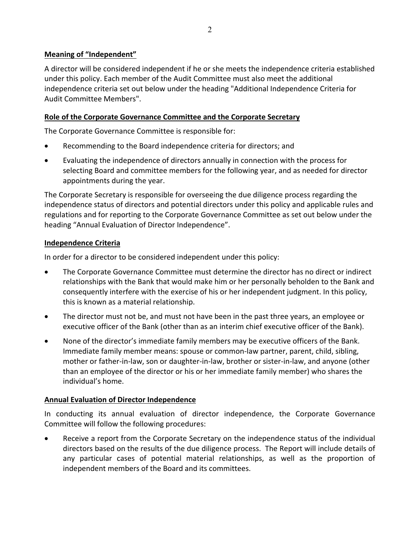## **Meaning of "Independent"**

A director will be considered independent if he or she meets the independence criteria established under this policy. Each member of the Audit Committee must also meet the additional independence criteria set out below under the heading "Additional Independence Criteria for Audit Committee Members".

## **Role of the Corporate Governance Committee and the Corporate Secretary**

The Corporate Governance Committee is responsible for:

- Recommending to the Board independence criteria for directors; and
- Evaluating the independence of directors annually in connection with the process for selecting Board and committee members for the following year, and as needed for director appointments during the year.

The Corporate Secretary is responsible for overseeing the due diligence process regarding the independence status of directors and potential directors under this policy and applicable rules and regulations and for reporting to the Corporate Governance Committee as set out below under the heading "Annual Evaluation of Director Independence".

## **Independence Criteria**

In order for a director to be considered independent under this policy:

- The Corporate Governance Committee must determine the director has no direct or indirect relationships with the Bank that would make him or her personally beholden to the Bank and consequently interfere with the exercise of his or her independent judgment. In this policy, this is known as a material relationship.
- The director must not be, and must not have been in the past three years, an employee or executive officer of the Bank (other than as an interim chief executive officer of the Bank).
- None of the director's immediate family members may be executive officers of the Bank. Immediate family member means: spouse or common-law partner, parent, child, sibling, mother or father-in-law, son or daughter-in-law, brother or sister-in-law, and anyone (other than an employee of the director or his or her immediate family member) who shares the individual's home.

# **Annual Evaluation of Director Independence**

In conducting its annual evaluation of director independence, the Corporate Governance Committee will follow the following procedures:

• Receive a report from the Corporate Secretary on the independence status of the individual directors based on the results of the due diligence process. The Report will include details of any particular cases of potential material relationships, as well as the proportion of independent members of the Board and its committees.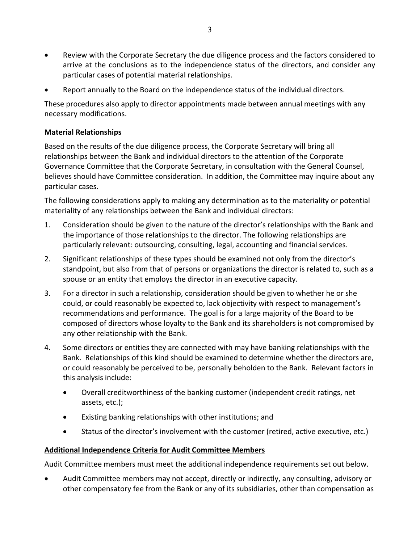- Review with the Corporate Secretary the due diligence process and the factors considered to arrive at the conclusions as to the independence status of the directors, and consider any particular cases of potential material relationships.
- Report annually to the Board on the independence status of the individual directors.

These procedures also apply to director appointments made between annual meetings with any necessary modifications.

## **Material Relationships**

Based on the results of the due diligence process, the Corporate Secretary will bring all relationships between the Bank and individual directors to the attention of the Corporate Governance Committee that the Corporate Secretary, in consultation with the General Counsel, believes should have Committee consideration. In addition, the Committee may inquire about any particular cases.

The following considerations apply to making any determination as to the materiality or potential materiality of any relationships between the Bank and individual directors:

- 1. Consideration should be given to the nature of the director's relationships with the Bank and the importance of those relationships to the director. The following relationships are particularly relevant: outsourcing, consulting, legal, accounting and financial services.
- 2. Significant relationships of these types should be examined not only from the director's standpoint, but also from that of persons or organizations the director is related to, such as a spouse or an entity that employs the director in an executive capacity.
- 3. For a director in such a relationship, consideration should be given to whether he or she could, or could reasonably be expected to, lack objectivity with respect to management's recommendations and performance. The goal is for a large majority of the Board to be composed of directors whose loyalty to the Bank and its shareholders is not compromised by any other relationship with the Bank.
- 4. Some directors or entities they are connected with may have banking relationships with the Bank. Relationships of this kind should be examined to determine whether the directors are, or could reasonably be perceived to be, personally beholden to the Bank. Relevant factors in this analysis include:
	- Overall creditworthiness of the banking customer (independent credit ratings, net assets, etc.);
	- Existing banking relationships with other institutions; and
	- Status of the director's involvement with the customer (retired, active executive, etc.)

## **Additional Independence Criteria for Audit Committee Members**

Audit Committee members must meet the additional independence requirements set out below.

• Audit Committee members may not accept, directly or indirectly, any consulting, advisory or other compensatory fee from the Bank or any of its subsidiaries, other than compensation as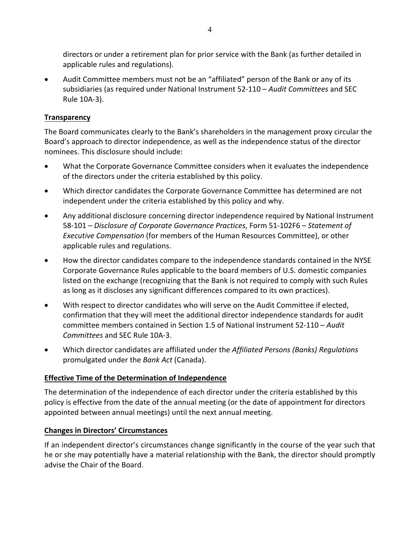directors or under a retirement plan for prior service with the Bank (as further detailed in applicable rules and regulations).

• Audit Committee members must not be an "affiliated" person of the Bank or any of its subsidiaries (as required under National Instrument 52-110 – *Audit Committees* and SEC Rule 10A-3).

## **Transparency**

The Board communicates clearly to the Bank's shareholders in the management proxy circular the Board's approach to director independence, as well as the independence status of the director nominees. This disclosure should include:

- What the Corporate Governance Committee considers when it evaluates the independence of the directors under the criteria established by this policy.
- Which director candidates the Corporate Governance Committee has determined are not independent under the criteria established by this policy and why.
- Any additional disclosure concerning director independence required by National Instrument 58-101 – *Disclosure of Corporate Governance Practices*, Form 51-102F6 – *Statement of Executive Compensation* (for members of the Human Resources Committee), or other applicable rules and regulations.
- How the director candidates compare to the independence standards contained in the NYSE Corporate Governance Rules applicable to the board members of U.S. domestic companies listed on the exchange (recognizing that the Bank is not required to comply with such Rules as long as it discloses any significant differences compared to its own practices).
- With respect to director candidates who will serve on the Audit Committee if elected, confirmation that they will meet the additional director independence standards for audit committee members contained in Section 1.5 of National Instrument 52-110 – *Audit Committees* and SEC Rule 10A-3.
- Which director candidates are affiliated under the *Affiliated Persons (Banks) Regulations* promulgated under the *Bank Act* (Canada).

## **Effective Time of the Determination of Independence**

The determination of the independence of each director under the criteria established by this policy is effective from the date of the annual meeting (or the date of appointment for directors appointed between annual meetings) until the next annual meeting.

## **Changes in Directors' Circumstances**

If an independent director's circumstances change significantly in the course of the year such that he or she may potentially have a material relationship with the Bank, the director should promptly advise the Chair of the Board.